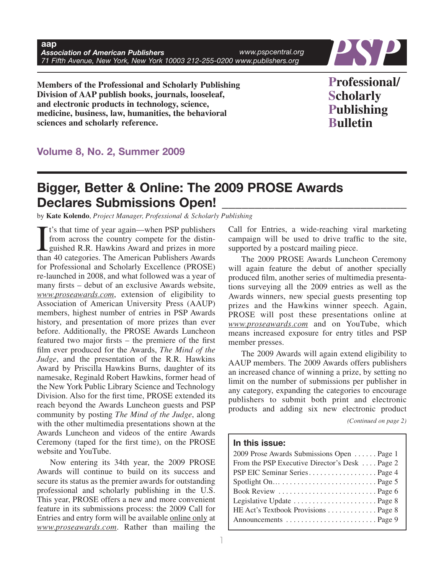

**Members of the Professional and Scholarly Publishing Division of AAP publish books, journals, looseleaf, and electronic products in technology, science, medicine, business, law, humanities, the behavioral sciences and scholarly reference.**

**Professional/ Scholarly Publishing Bulletin**

## **Volume 8, No. 2, Summer 2009**

# **Bigger, Better & Online: The 2009 PROSE Awards Declares Submissions Open! \_\_\_\_\_\_\_\_\_\_\_\_\_\_\_\_\_\_\_\_\_\_\_\_\_\_\_\_**

by **Kate Kolendo**, *Project Manager, Professional & Scholarly Publishing*

 $\prod_{\text{than}}$ t's that time of year again—when PSP publishers from across the country compete for the distinguished R.R. Hawkins Award and prizes in more than 40 categories. The American Publishers Awards for Professional and Scholarly Excellence (PROSE) re-launched in 2008, and what followed was a year of many firsts – debut of an exclusive Awards website, *www.proseawards.com*, extension of eligibility to Association of American University Press (AAUP) members, highest number of entries in PSP Awards history, and presentation of more prizes than ever before. Additionally, the PROSE Awards Luncheon featured two major firsts – the premiere of the first film ever produced for the Awards, *The Mind of the Judge*, and the presentation of the R.R. Hawkins Award by Priscilla Hawkins Burns, daughter of its namesake, Reginald Robert Hawkins, former head of the New York Public Library Science and Technology Division. Also for the first time, PROSE extended its reach beyond the Awards Luncheon guests and PSP community by posting *The Mind of the Judge*, along with the other multimedia presentations shown at the Awards Luncheon and videos of the entire Awards Ceremony (taped for the first time), on the PROSE website and YouTube.

Now entering its 34th year, the 2009 PROSE Awards will continue to build on its success and secure its status as the premier awards for outstanding professional and scholarly publishing in the U.S. This year, PROSE offers a new and more convenient feature in its submissions process: the 2009 Call for Entries and entry form will be available online only at *www.proseawards.com*. Rather than mailing the

Call for Entries, a wide-reaching viral marketing campaign will be used to drive traffic to the site, supported by a postcard mailing piece.

The 2009 PROSE Awards Luncheon Ceremony will again feature the debut of another specially produced film, another series of multimedia presentations surveying all the 2009 entries as well as the Awards winners, new special guests presenting top prizes and the Hawkins winner speech. Again, PROSE will post these presentations online at *www.proseawards.com* and on YouTube, which means increased exposure for entry titles and PSP member presses.

The 2009 Awards will again extend eligibility to AAUP members. The 2009 Awards offers publishers an increased chance of winning a prize, by setting no limit on the number of submissions per publisher in any category, expanding the categories to encourage publishers to submit both print and electronic products and adding six new electronic product

*(Continued on page 2)*

## **In this issue:**

| 2009 Prose Awards Submissions Open  Page 1     |
|------------------------------------------------|
| From the PSP Executive Director's Desk  Page 2 |
|                                                |
|                                                |
|                                                |
|                                                |
| HE Act's Textbook Provisions Page 8            |
|                                                |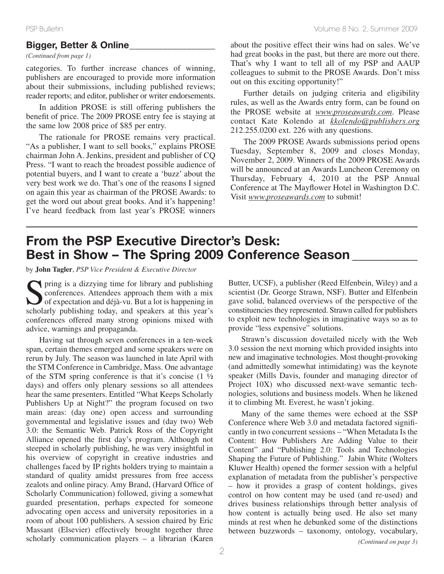## **Bigger, Better & Online\_\_\_\_\_\_\_\_\_\_\_\_\_\_\_\_\_\_**

*(Continued from page 1)*

categories. To further increase chances of winning, publishers are encouraged to provide more information about their submissions, including published reviews; reader reports; and editor, publisher or writer endorsements.

In addition PROSE is still offering publishers the benefit of price. The 2009 PROSE entry fee is staying at the same low 2008 price of \$85 per entry.

The rationale for PROSE remains very practical. "As a publisher, I want to sell books," explains PROSE chairman John A. Jenkins, president and publisher of CQ Press. "I want to reach the broadest possible audience of potential buyers, and I want to create a 'buzz' about the very best work we do. That's one of the reasons I signed on again this year as chairman of the PROSE Awards: to get the word out about great books. And it's happening! I've heard feedback from last year's PROSE winners about the positive effect their wins had on sales. We've had great books in the past, but there are more out there. That's why I want to tell all of my PSP and AAUP colleagues to submit to the PROSE Awards. Don't miss out on this exciting opportunity!"

Further details on judging criteria and eligibility rules, as well as the Awards entry form, can be found on the PROSE website at *www.proseawards.com*. Please contact Kate Kolendo at *kkolendo@publishers.org* 212.255.0200 ext. 226 with any questions.

The 2009 PROSE Awards submissions period opens Tuesday, September 8, 2009 and closes Monday, November 2, 2009. Winners of the 2009 PROSE Awards will be announced at an Awards Luncheon Ceremony on Thursday, February 4, 2010 at the PSP Annual Conference at The Mayflower Hotel in Washington D.C. Visit *www.proseawards.com* to submit!

# **From the PSP Executive Director's Desk: Best in Show – The Spring 2009 Conference Season \_\_\_\_\_\_\_\_\_\_**

by **John Tagler**, *PSP Vice President & Executive Director*

Spring is <sup>a</sup> dizzying time for library and publishing conferences. Attendees approach them with a mix of expectation and déjà-vu. But a lot is happening in scholarly publishing today, and speakers at this year's conferences offered many strong opinions mixed with advice, warnings and propaganda.

Having sat through seven conferences in a ten-week span, certain themes emerged and some speakers were on rerun by July. The season was launched in late April with the STM Conference in Cambridge, Mass. One advantage of the STM spring conference is that it's concise  $(1 \frac{1}{2})$ days) and offers only plenary sessions so all attendees hear the same presenters. Entitled "What Keeps Scholarly Publishers Up at Night?" the program focused on two main areas: (day one) open access and surrounding governmental and legislative issues and (day two) Web 3.0: the Semantic Web. Patrick Ross of the Copyright Alliance opened the first day's program. Although not steeped in scholarly publishing, he was very insightful in his overview of copyright in creative industries and challenges faced by IP rights holders trying to maintain a standard of quality amidst pressures from free access zealots and online piracy. Amy Brand, (Harvard Office of Scholarly Communication) followed, giving a somewhat guarded presentation, perhaps expected for someone advocating open access and university repositories in a room of about 100 publishers. A session chaired by Eric Massant (Elsevier) effectively brought together three scholarly communication players – a librarian (Karen

Butter, UCSF), a publisher (Reed Elfenbein, Wiley) and a scientist (Dr. George Strawn, NSF). Butter and Elfenbein gave solid, balanced overviews of the perspective of the constituencies they represented. Strawn called for publishers to exploit new technologies in imaginative ways so as to provide "less expensive" solutions.

Strawn's discussion dovetailed nicely with the Web 3.0 session the next morning which provided insights into new and imaginative technologies. Most thought-provoking (and admittedly somewhat intimidating) was the keynote speaker (Mills Davis, founder and managing director of Project 10X) who discussed next-wave semantic technologies, solutions and business models. When he likened it to climbing Mt. Everest, he wasn't joking.

Many of the same themes were echoed at the SSP Conference where Web 3.0 and metadata factored significantly in two concurrent sessions – "When Metadata Is the Content: How Publishers Are Adding Value to their Content" and "Publishing 2.0: Tools and Technologies Shaping the Future of Publishing." Jabin White (Wolters Kluwer Health) opened the former session with a helpful explanation of metadata from the publisher's perspective – how it provides a grasp of content holdings, gives control on how content may be used (and re-used) and drives business relationships through better analysis of how content is actually being used. He also set many minds at rest when he debunked some of the distinctions between buzzwords – taxonomy, ontology, vocabulary,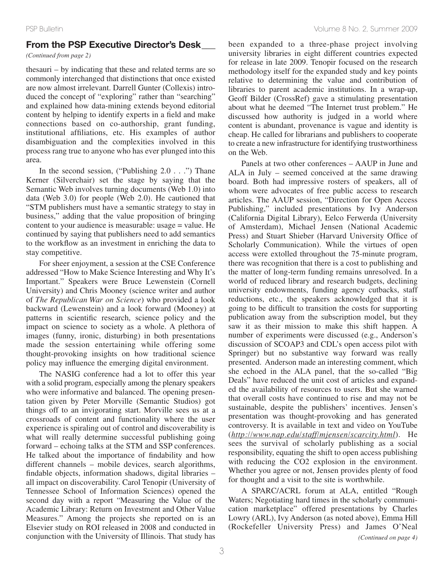## **From the PSP Executive Director's Desk\_\_\_**

*(Continued from page 2)*

thesauri – by indicating that these and related terms are so commonly interchanged that distinctions that once existed are now almost irrelevant. Darrell Gunter (Collexis) introduced the concept of "exploring" rather than "searching" and explained how data-mining extends beyond editorial content by helping to identify experts in a field and make connections based on co-authorship, grant funding, institutional affiliations, etc. His examples of author disambiguation and the complexities involved in this process rang true to anyone who has ever plunged into this area.

In the second session, ("Publishing  $2.0 \ldots$ ") Thane Kerner (Silverchair) set the stage by saying that the Semantic Web involves turning documents (Web 1.0) into data (Web 3.0) for people (Web 2.0). He cautioned that "STM publishers must have a semantic strategy to stay in business," adding that the value proposition of bringing content to your audience is measurable: usage = value. He continued by saying that publishers need to add semantics to the workflow as an investment in enriching the data to stay competitive.

For sheer enjoyment, a session at the CSE Conference addressed "How to Make Science Interesting and Why It's Important." Speakers were Bruce Lewenstein (Cornell University) and Chris Mooney (science writer and author of *The Republican War on Science*) who provided a look backward (Lewenstein) and a look forward (Mooney) at patterns in scientific research, science policy and the impact on science to society as a whole. A plethora of images (funny, ironic, disturbing) in both presentations made the session entertaining while offering some thought-provoking insights on how traditional science policy may influence the emerging digital environment.

The NASIG conference had a lot to offer this year with a solid program, especially among the plenary speakers who were informative and balanced. The opening presentation given by Peter Morville (Semantic Studios) got things off to an invigorating start. Morville sees us at a crossroads of content and functionality where the user experience is spiraling out of control and discoverability is what will really determine successful publishing going forward – echoing talks at the STM and SSP conferences. He talked about the importance of findability and how different channels – mobile devices, search algorithms, findable objects, information shadows, digital libraries – all impact on discoverability. Carol Tenopir (University of Tennessee School of Information Sciences) opened the second day with a report "Measuring the Value of the Academic Library: Return on Investment and Other Value Measures." Among the projects she reported on is an Elsevier study on ROI released in 2008 and conducted in conjunction with the University of Illinois. That study has

been expanded to a three-phase project involving university libraries in eight different countries expected for release in late 2009. Tenopir focused on the research methodology itself for the expanded study and key points relative to determining the value and contribution of libraries to parent academic institutions. In a wrap-up, Geoff Bilder (CrossRef) gave a stimulating presentation about what he deemed "The Internet trust problem." He discussed how authority is judged in a world where content is abundant, provenance is vague and identity is cheap. He called for librarians and publishers to cooperate to create a new infrastructure for identifying trustworthiness on the Web.

Panels at two other conferences – AAUP in June and ALA in July – seemed conceived at the same drawing board. Both had impressive rosters of speakers, all of whom were advocates of free public access to research articles. The AAUP session, "Direction for Open Access Publishing," included presentations by Ivy Anderson (California Digital Library), Eelco Ferwerda (University of Amsterdam), Michael Jensen (National Academic Press) and Stuart Shieber (Harvard University Office of Scholarly Communication). While the virtues of open access were extolled throughout the 75-minute program, there was recognition that there is a cost to publishing and the matter of long-term funding remains unresolved. In a world of reduced library and research budgets, declining university endowments, funding agency cutbacks, staff reductions, etc., the speakers acknowledged that it is going to be difficult to transition the costs for supporting publication away from the subscription model, but they saw it as their mission to make this shift happen. A number of experiments were discussed (e.g., Anderson's discussion of SCOAP3 and CDL's open access pilot with Springer) but no substantive way forward was really presented. Anderson made an interesting comment, which she echoed in the ALA panel, that the so-called "Big Deals" have reduced the unit cost of articles and expanded the availability of resources to users. But she warned that overall costs have continued to rise and may not be sustainable, despite the publishers' incentives. Jensen's presentation was thought-provoking and has generated controversy. It is available in text and video on YouTube (*http://www.nap.edu/staff/mjensen/scarcity.html*). He sees the survival of scholarly publishing as a social responsibility, equating the shift to open access publishing with reducing the CO2 explosion in the environment. Whether you agree or not, Jensen provides plenty of food for thought and a visit to the site is worthwhile.

A SPARC/ACRL forum at ALA, entitled "Rough Waters; Negotiating hard times in the scholarly communication marketplace" offered presentations by Charles Lowry (ARL), Ivy Anderson (as noted above), Emma Hill (Rockefeller University Press) and James O'Neal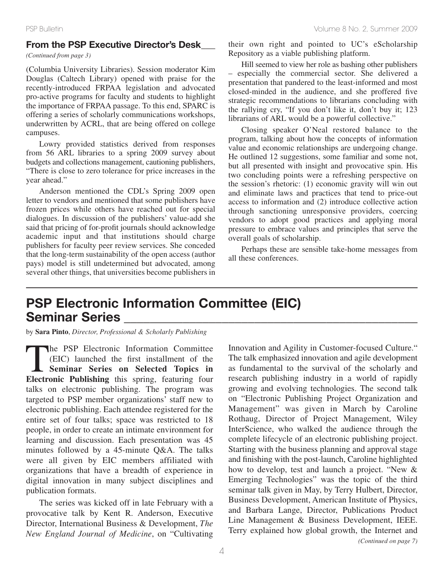## **From the PSP Executive Director's Desk\_\_\_**

*(Continued from page 3)*

(Columbia University Libraries). Session moderator Kim Douglas (Caltech Library) opened with praise for the recently-introduced FRPAA legislation and advocated pro-active programs for faculty and students to highlight the importance of FRPAA passage. To this end, SPARC is offering a series of scholarly communications workshops, underwritten by ACRL, that are being offered on college campuses.

Lowry provided statistics derived from responses from 56 ARL libraries to a spring 2009 survey about budgets and collections management, cautioning publishers, "There is close to zero tolerance for price increases in the year ahead."

Anderson mentioned the CDL's Spring 2009 open letter to vendors and mentioned that some publishers have frozen prices while others have reached out for special dialogues. In discussion of the publishers' value-add she said that pricing of for-profit journals should acknowledge academic input and that institutions should charge publishers for faculty peer review services. She conceded that the long-term sustainability of the open access (author pays) model is still undetermined but advocated, among several other things, that universities become publishers in their own right and pointed to UC's eScholarship Repository as a viable publishing platform.

Hill seemed to view her role as bashing other publishers – especially the commercial sector. She delivered a presentation that pandered to the least-informed and most closed-minded in the audience, and she proffered five strategic recommendations to librarians concluding with the rallying cry, "If you don't like it, don't buy it; 123 librarians of ARL would be a powerful collective."

Closing speaker O'Neal restored balance to the program, talking about how the concepts of information value and economic relationships are undergoing change. He outlined 12 suggestions, some familiar and some not, but all presented with insight and provocative spin. His two concluding points were a refreshing perspective on the session's rhetoric: (1) economic gravity will win out and eliminate laws and practices that tend to price-out access to information and (2) introduce collective action through sanctioning unresponsive providers, coercing vendors to adopt good practices and applying moral pressure to embrace values and principles that serve the overall goals of scholarship.

Perhaps these are sensible take-home messages from all these conferences.

# **PSP Electronic Information Committee (EIC) Seminar Series \_\_\_\_\_\_\_\_\_\_\_\_\_\_\_\_\_\_\_\_\_\_\_\_\_\_\_\_\_\_\_\_\_\_\_\_\_\_\_\_\_\_\_\_\_**

by **Sara Pinto**, *Director, Professional & Scholarly Publishing*

The PSP Electronic Information Committee<br>(EIC) launched the first installment of the<br>Seminar Series on Selected Topics in<br>Electronic Publishing this spring featuring four (EIC) launched the first installment of the **Seminar Series on Selected Topics in Electronic Publishing** this spring, featuring four talks on electronic publishing. The program was targeted to PSP member organizations' staff new to electronic publishing. Each attendee registered for the entire set of four talks; space was restricted to 18 people, in order to create an intimate environment for learning and discussion. Each presentation was 45 minutes followed by a 45-minute Q&A. The talks were all given by EIC members affiliated with organizations that have a breadth of experience in digital innovation in many subject disciplines and publication formats.

The series was kicked off in late February with a provocative talk by Kent R. Anderson, Executive Director, International Business & Development, *The New England Journal of Medicine*, on "Cultivating

Innovation and Agility in Customer-focused Culture." The talk emphasized innovation and agile development as fundamental to the survival of the scholarly and research publishing industry in a world of rapidly growing and evolving technologies. The second talk on "Electronic Publishing Project Organization and Management" was given in March by Caroline Rothaug, Director of Project Management, Wiley InterScience, who walked the audience through the complete lifecycle of an electronic publishing project. Starting with the business planning and approval stage and finishing with the post-launch, Caroline highlighted how to develop, test and launch a project. "New & Emerging Technologies" was the topic of the third seminar talk given in May, by Terry Hulbert, Director, Business Development, American Institute of Physics, and Barbara Lange, Director, Publications Product Line Management & Business Development, IEEE. Terry explained how global growth, the Internet and *(Continued on page 7)*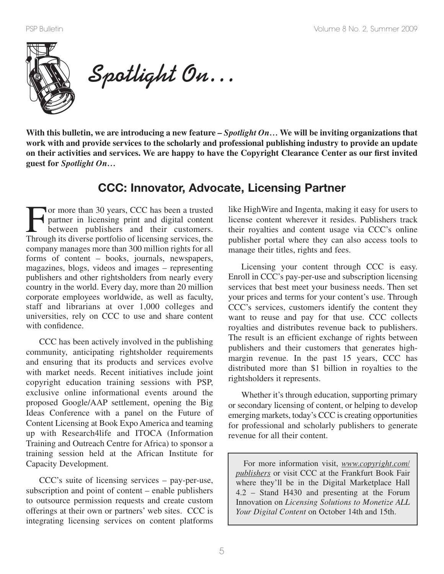

**Spotlight On…**

With this bulletin, we are introducing a new feature  $-Spotight On...$  We will be inviting organizations that **work with and provide services to the scholarly and professional publishing industry to provide an update** on their activities and services. We are happy to have the Copyright Clearance Center as our first invited **guest for** *Spotlight On…*

# **CCC: Innovator, Advocate, Licensing Partner**

For more than 30 years, CCC has been a trusted<br>partner in licensing print and digital content<br>between publishers and their customers.<br>Through its diverse portfolio of licensing services, the partner in licensing print and digital content between publishers and their customers. Through its diverse portfolio of licensing services, the company manages more than 300 million rights for all forms of content – books, journals, newspapers, magazines, blogs, videos and images – representing publishers and other rightsholders from nearly every country in the world. Every day, more than 20 million corporate employees worldwide, as well as faculty, staff and librarians at over 1,000 colleges and universities, rely on CCC to use and share content with confidence.

CCC has been actively involved in the publishing community, anticipating rightsholder requirements and ensuring that its products and services evolve with market needs. Recent initiatives include joint copyright education training sessions with PSP, exclusive online informational events around the proposed Google/AAP settlement, opening the Big Ideas Conference with a panel on the Future of Content Licensing at Book Expo America and teaming up with Research4life and ITOCA (Information Training and Outreach Centre for Africa) to sponsor a training session held at the African Institute for Capacity Development.

CCC's suite of licensing services – pay-per-use, subscription and point of content – enable publishers to outsource permission requests and create custom offerings at their own or partners' web sites. CCC is integrating licensing services on content platforms like HighWire and Ingenta, making it easy for users to license content wherever it resides. Publishers track their royalties and content usage via CCC's online publisher portal where they can also access tools to manage their titles, rights and fees.

Licensing your content through CCC is easy. Enroll in CCC's pay-per-use and subscription licensing services that best meet your business needs. Then set your prices and terms for your content's use. Through CCC's services, customers identify the content they want to reuse and pay for that use. CCC collects royalties and distributes revenue back to publishers. The result is an efficient exchange of rights between publishers and their customers that generates highmargin revenue. In the past 15 years, CCC has distributed more than \$1 billion in royalties to the rightsholders it represents.

Whether it's through education, supporting primary or secondary licensing of content, or helping to develop emerging markets, today's CCC is creating opportunities for professional and scholarly publishers to generate revenue for all their content.

For more information visit, *www.copyright.com/ publishers* or visit CCC at the Frankfurt Book Fair where they'll be in the Digital Marketplace Hall 4.2 – Stand H430 and presenting at the Forum Innovation on *Licensing Solutions to Monetize ALL Your Digital Content* on October 14th and 15th.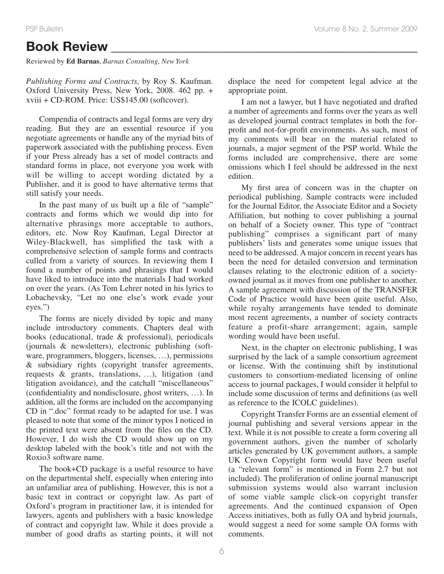# **Book Review \_\_\_\_\_\_\_\_\_\_\_\_\_\_\_\_\_\_\_\_\_\_\_\_\_\_\_\_\_\_\_\_\_\_\_\_\_\_\_\_\_\_\_\_\_\_\_**

Reviewed by **Ed Barnas**, *Barnas Consulting, New York*

*Publishing Forms and Contracts*, by Roy S. Kaufman. Oxford University Press, New York, 2008. 462 pp. + xviii + CD-ROM. Price: US\$145.00 (softcover).

Compendia of contracts and legal forms are very dry reading. But they are an essential resource if you negotiate agreements or handle any of the myriad bits of paperwork associated with the publishing process. Even if your Press already has a set of model contracts and standard forms in place, not everyone you work with will be willing to accept wording dictated by a Publisher, and it is good to have alternative terms that still satisfy your needs.

In the past many of us built up a file of "sample" contracts and forms which we would dip into for alternative phrasings more acceptable to authors, editors, etc. Now Roy Kaufman, Legal Director at Wiley-Blackwell, has simplified the task with a comprehensive selection of sample forms and contracts culled from a variety of sources. In reviewing them I found a number of points and phrasings that I would have liked to introduce into the materials I had worked on over the years. (As Tom Lehrer noted in his lyrics to Lobachevsky, "Let no one else's work evade your eyes.")

The forms are nicely divided by topic and many include introductory comments. Chapters deal with books (educational, trade & professional), periodicals (journals & newsletters), electronic publishing (software, programmers, bloggers, licenses, …), permissions & subsidiary rights (copyright transfer agreements, requests & grants, translations, …), litigation (and litigation avoidance), and the catchall "miscellaneous" (confidentiality and nondisclosure, ghost writers, …). In addition, all the forms are included on the accompanying CD in ".doc" format ready to be adapted for use. I was pleased to note that some of the minor typos I noticed in the printed text were absent from the files on the CD. However, I do wish the CD would show up on my desktop labeled with the book's title and not with the Roxio3 software name.

The book+CD package is a useful resource to have on the departmental shelf, especially when entering into an unfamiliar area of publishing. However, this is not a basic text in contract or copyright law. As part of Oxford's program in practitioner law, it is intended for lawyers, agents and publishers with a basic knowledge of contract and copyright law. While it does provide a number of good drafts as starting points, it will not displace the need for competent legal advice at the appropriate point.

I am not a lawyer, but I have negotiated and drafted a number of agreements and forms over the years as well as developed journal contract templates in both the forprofit and not-for-profit environments. As such, most of my comments will bear on the material related to journals, a major segment of the PSP world. While the forms included are comprehensive, there are some omissions which I feel should be addressed in the next edition.

My first area of concern was in the chapter on periodical publishing. Sample contracts were included for the Journal Editor, the Associate Editor and a Society Affiliation, but nothing to cover publishing a journal on behalf of a Society owner. This type of "contract publishing" comprises a significant part of many publishers' lists and generates some unique issues that need to be addressed. A major concern in recent years has been the need for detailed conversion and termination clauses relating to the electronic edition of a societyowned journal as it moves from one publisher to another. A sample agreement with discussion of the TRANSFER Code of Practice would have been quite useful. Also, while royalty arrangements have tended to dominate most recent agreements, a number of society contracts feature a profit-share arrangement; again, sample wording would have been useful.

Next, in the chapter on electronic publishing, I was surprised by the lack of a sample consortium agreement or license. With the continuing shift by institutional customers to consortium-mediated licensing of online access to journal packages, I would consider it helpful to include some discussion of terms and definitions (as well as reference to the ICOLC guidelines).

Copyright Transfer Forms are an essential element of journal publishing and several versions appear in the text. While it is not possible to create a form covering all government authors, given the number of scholarly articles generated by UK government authors, a sample UK Crown Copyright form would have been useful (a "relevant form" is mentioned in Form 2.7 but not included). The proliferation of online journal manuscript submission systems would also warrant inclusion of some viable sample click-on copyright transfer agreements. And the continued expansion of Open Access initiatives, both as fully OA and hybrid journals, would suggest a need for some sample OA forms with comments.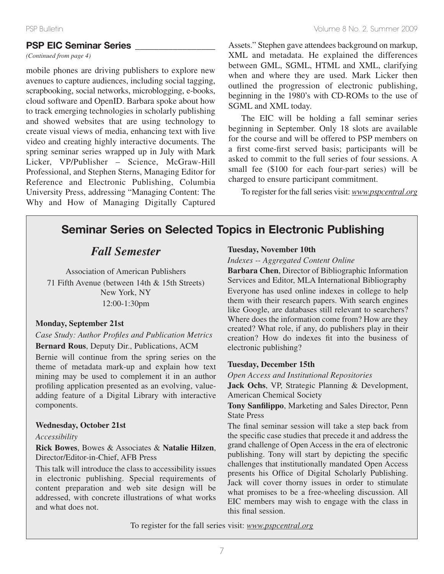## **PSP EIC Seminar Series \_\_\_\_\_\_\_\_\_\_\_\_\_\_\_\_\_**

*(Continued from page 4)*

mobile phones are driving publishers to explore new avenues to capture audiences, including social tagging, scrapbooking, social networks, microblogging, e-books, cloud software and OpenID. Barbara spoke about how to track emerging technologies in scholarly publishing and showed websites that are using technology to create visual views of media, enhancing text with live video and creating highly interactive documents. The spring seminar series wrapped up in July with Mark Licker, VP/Publisher – Science, McGraw-Hill Professional, and Stephen Sterns, Managing Editor for Reference and Electronic Publishing, Columbia University Press, addressing "Managing Content: The Why and How of Managing Digitally Captured

Assets." Stephen gave attendees background on markup, XML and metadata. He explained the differences between GML, SGML, HTML and XML, clarifying when and where they are used. Mark Licker then outlined the progression of electronic publishing, beginning in the 1980's with CD-ROMs to the use of SGML and XML today.

The EIC will be holding a fall seminar series beginning in September. Only 18 slots are available for the course and will be offered to PSP members on a first come-first served basis; participants will be asked to commit to the full series of four sessions. A small fee (\$100 for each four-part series) will be charged to ensure participant commitment.

To register for the fall series visit: *www.pspcentral.org* 

# **Seminar Series on Selected Topics in Electronic Publishing**

## *Fall Semester*

Association of American Publishers 71 Fifth Avenue (between 14th & 15th Streets) New York, NY 12:00-1:30pm

## **Monday, September 21st**

## *Case Study: Author Profiles and Publication Metrics*

**Bernard Rous**, Deputy Dir., Publications, ACM

Bernie will continue from the spring series on the theme of metadata mark-up and explain how text mining may be used to complement it in an author profiling application presented as an evolving, valueadding feature of a Digital Library with interactive components.

#### **Wednesday, October 21st**

#### *Accessibility*

**Rick Bowes**, Bowes & Associates & **Natalie Hilzen**, Director/Editor-in-Chief, AFB Press

This talk will introduce the class to accessibility issues in electronic publishing. Special requirements of content preparation and web site design will be addressed, with concrete illustrations of what works and what does not.

## **Tuesday, November 10th**

*Indexes -- Aggregated Content Online*

**Barbara Chen**, Director of Bibliographic Information Services and Editor, MLA International Bibliography Everyone has used online indexes in college to help them with their research papers. With search engines like Google, are databases still relevant to searchers? Where does the information come from? How are they created? What role, if any, do publishers play in their creation? How do indexes fit into the business of electronic publishing?

#### **Tuesday, December 15th**

*Open Access and Institutional Repositories*

**Jack Ochs**, VP, Strategic Planning & Development, American Chemical Society

**Tony Sanfilippo**, Marketing and Sales Director, Penn State Press

The final seminar session will take a step back from the specific case studies that precede it and address the grand challenge of Open Access in the era of electronic publishing. Tony will start by depicting the specific challenges that institutionally mandated Open Access presents his Office of Digital Scholarly Publishing. Jack will cover thorny issues in order to stimulate what promises to be a free-wheeling discussion. All EIC members may wish to engage with the class in this final session.

To register for the fall series visit: *www.pspcentral.org*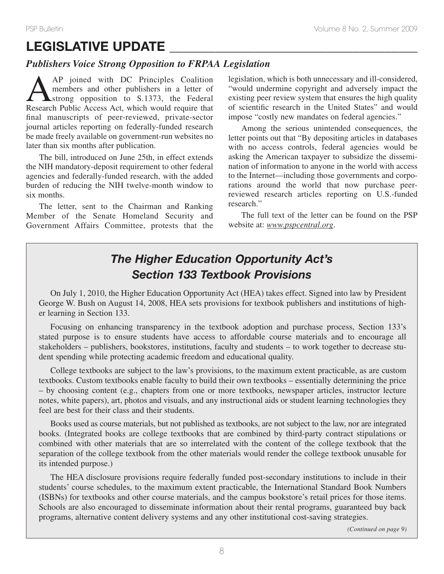# **LEGISLATIVE UPDATE \_\_\_\_\_\_\_\_\_\_\_\_\_\_\_\_\_\_\_\_\_\_\_\_\_\_\_\_\_\_\_\_\_\_\_\_\_\_**

## *Publishers Voice Strong Opposition to FRPAA Legislation*

AAP joined with DC Principles Coalition members and other publishers in a letter of strong opposition to S.1373, the Federal Research Public Access Act, which would require that final manuscripts of peer-reviewed, private-sector journal articles reporting on federally-funded research be made freely available on government-run websites no later than six months after publication.

The bill, introduced on June 25th, in effect extends the NIH mandatory-deposit requirement to other federal agencies and federally-funded research, with the added burden of reducing the NIH twelve-month window to six months.

The letter, sent to the Chairman and Ranking Member of the Senate Homeland Security and Government Affairs Committee, protests that the legislation, which is both unnecessary and ill-considered, "would undermine copyright and adversely impact the existing peer review system that ensures the high quality of scientific research in the United States" and would impose "costly new mandates on federal agencies."

Among the serious unintended consequences, the letter points out that "By depositing articles in databases with no access controls, federal agencies would be asking the American taxpayer to subsidize the dissemination of information to anyone in the world with access to the Internet—including those governments and corporations around the world that now purchase peerreviewed research articles reporting on U.S.-funded research."

The full text of the letter can be found on the PSP website at: *www.pspcentral.org*.

# *The Higher Education Opportunity Act's Section 133 Textbook Provisions*

On July 1, 2010, the Higher Education Opportunity Act (HEA) takes effect. Signed into law by President George W. Bush on August 14, 2008, HEA sets provisions for textbook publishers and institutions of higher learning in Section 133.

Focusing on enhancing transparency in the textbook adoption and purchase process, Section 133's stated purpose is to ensure students have access to affordable course materials and to encourage all stakeholders – publishers, bookstores, institutions, faculty and students – to work together to decrease student spending while protecting academic freedom and educational quality.

College textbooks are subject to the law's provisions, to the maximum extent practicable, as are custom textbooks. Custom textbooks enable faculty to build their own textbooks – essentially determining the price – by choosing content (e.g., chapters from one or more textbooks, newspaper articles, instructor lecture notes, white papers), art, photos and visuals, and any instructional aids or student learning technologies they feel are best for their class and their students.

Books used as course materials, but not published as textbooks, are not subject to the law, nor are integrated books. (Integrated books are college textbooks that are combined by third-party contract stipulations or combined with other materials that are so interrelated with the content of the college textbook that the separation of the college textbook from the other materials would render the college textbook unusable for its intended purpose.)

The HEA disclosure provisions require federally funded post-secondary institutions to include in their students' course schedules, to the maximum extent practicable, the International Standard Book Numbers (ISBNs) for textbooks and other course materials, and the campus bookstore's retail prices for those items. Schools are also encouraged to disseminate information about their rental programs, guaranteed buy back programs, alternative content delivery systems and any other institutional cost-saving strategies.

*(Continued on page 9)*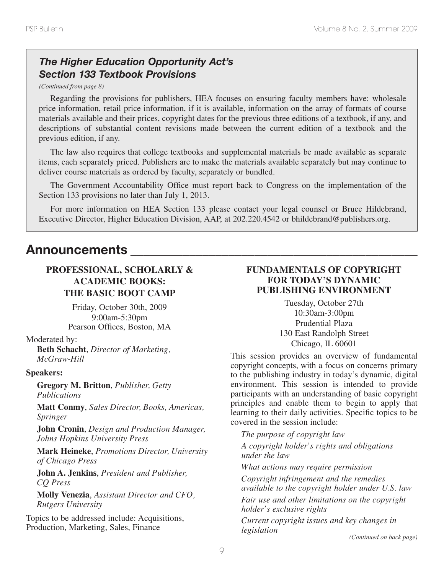# *The Higher Education Opportunity Act's Section 133 Textbook Provisions*

*(Continued from page 8)*

Regarding the provisions for publishers, HEA focuses on ensuring faculty members have: wholesale price information, retail price information, if it is available, information on the array of formats of course materials available and their prices, copyright dates for the previous three editions of a textbook, if any, and descriptions of substantial content revisions made between the current edition of a textbook and the previous edition, if any.

The law also requires that college textbooks and supplemental materials be made available as separate items, each separately priced. Publishers are to make the materials available separately but may continue to deliver course materials as ordered by faculty, separately or bundled.

The Government Accountability Office must report back to Congress on the implementation of the Section 133 provisions no later than July 1, 2013.

For more information on HEA Section 133 please contact your legal counsel or Bruce Hildebrand, Executive Director, Higher Education Division, AAP, at 202.220.4542 or bhildebrand@publishers.org.

# **Announcements \_\_\_\_\_\_\_\_\_\_\_\_\_\_\_\_\_\_\_\_\_\_\_\_\_\_\_\_\_\_\_\_\_\_\_\_\_\_\_\_\_\_\_\_**

## **PROFESSIONAL, SCHOLARLY & ACADEMIC BOOKS: THE BASIC BOOT CAMP**

Friday, October 30th, 2009 9:00am-5:30pm Pearson Offices, Boston, MA

Moderated by:

**Beth Schacht**, *Director of Marketing, McGraw-Hill*

## **Speakers:**

**Gregory M. Britton**, *Publisher, Getty Publications*

**Matt Conmy**, *Sales Director, Books, Americas, Springer*

**John Cronin**, *Design and Production Manager, Johns Hopkins University Press*

**Mark Heineke**, *Promotions Director, University of Chicago Press*

**John A. Jenkins**, *President and Publisher, CQ Press*

**Molly Venezia**, *Assistant Director and CFO, Rutgers University*

Topics to be addressed include: Acquisitions, Production, Marketing, Sales, Finance

## **FUNDAMENTALS OF COPYRIGHT FOR TODAY'S DYNAMIC PUBLISHING ENVIRONMENT**

Tuesday, October 27th 10:30am-3:00pm Prudential Plaza 130 East Randolph Street Chicago, IL 60601

This session provides an overview of fundamental copyright concepts, with a focus on concerns primary to the publishing industry in today's dynamic, digital environment. This session is intended to provide participants with an understanding of basic copyright principles and enable them to begin to apply that learning to their daily activities. Specific topics to be covered in the session include:

*The purpose of copyright law A copyright holder's rights and obligations under the law What actions may require permission Copyright infringement and the remedies available to the copyright holder under U.S. law Fair use and other limitations on the copyright holder's exclusive rights Current copyright issues and key changes in legislation*